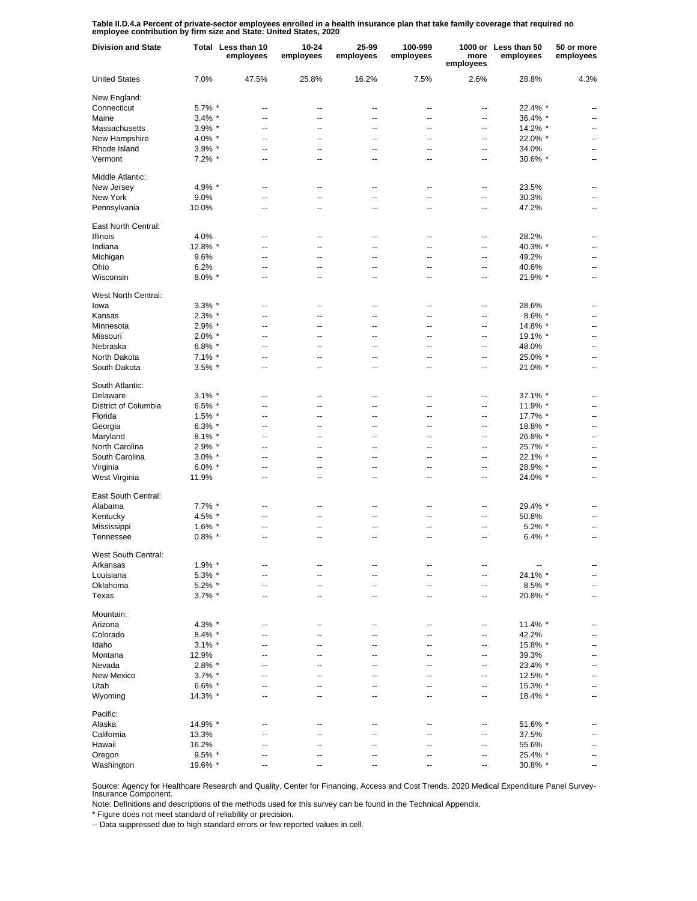**Table II.D.4.a Percent of private-sector employees enrolled in a health insurance plan that take family coverage that required no employee contribution by firm size and State: United States, 2020**

| <b>Division and State</b> |           | Total Less than 10<br>employees | 10-24<br>employees | 25-99<br>employees       | 100-999<br>employees     | more<br>employees        | 1000 or Less than 50<br>employees | 50 or more<br>employees  |
|---------------------------|-----------|---------------------------------|--------------------|--------------------------|--------------------------|--------------------------|-----------------------------------|--------------------------|
| <b>United States</b>      | 7.0%      | 47.5%                           | 25.8%              | 16.2%                    | 7.5%                     | 2.6%                     | 28.8%                             | 4.3%                     |
| New England:              |           |                                 |                    |                          |                          |                          |                                   |                          |
| Connecticut               | 5.7% *    | --                              | --                 | --                       | $\overline{\phantom{a}}$ | --                       | 22.4% *                           |                          |
| Maine                     | $3.4\%$ * | --                              | $\overline{a}$     | $\overline{a}$           | $\overline{a}$           | $\overline{a}$           | 36.4% *                           | $\overline{\phantom{a}}$ |
| Massachusetts             | $3.9\%$ * | --                              | --                 | $\overline{a}$           | $\overline{\phantom{a}}$ | $\overline{a}$           | 14.2% *                           | $\overline{a}$           |
| New Hampshire             | 4.0% $*$  | --                              | $\overline{a}$     | $\overline{a}$           | $\overline{a}$           | $\overline{\phantom{a}}$ | 22.0% *                           | $\overline{\phantom{a}}$ |
| Rhode Island              | $3.9\%$ * | $\overline{a}$                  | $\overline{a}$     | $\overline{a}$           | $\overline{a}$           | $\overline{\phantom{a}}$ | 34.0%                             | $\overline{\phantom{a}}$ |
| Vermont                   | $7.2\%$ * | --                              | $\overline{a}$     | $\overline{\phantom{a}}$ | $\overline{a}$           | $\overline{\phantom{a}}$ | 30.6% *                           | $\overline{a}$           |
| Middle Atlantic:          |           |                                 |                    |                          |                          |                          |                                   |                          |
| New Jersey                | 4.9% *    | --                              | $\overline{a}$     | --                       | --                       | --                       | 23.5%                             |                          |
| New York                  | 9.0%      | --                              | --                 | $\overline{a}$           | $\overline{a}$           | --                       | 30.3%                             |                          |
| Pennsylvania              | 10.0%     | --                              | --                 | $\overline{a}$           | $\overline{a}$           | $\overline{a}$           | 47.2%                             | --                       |
| East North Central:       |           |                                 |                    |                          |                          |                          |                                   |                          |
| <b>Illinois</b>           | 4.0%      | --                              | --                 | ٠.                       | --                       | --                       | 28.2%                             |                          |
| Indiana                   | 12.8% *   | --                              | --                 | --                       | --                       | --                       | 40.3% *                           | --                       |
| Michigan                  | 9.6%      | --                              | --                 | --                       | --                       | --                       | 49.2%                             |                          |
| Ohio                      | 6.2%      | --                              | --                 | --                       | $\overline{\phantom{a}}$ | --                       | 40.6%                             | --                       |
| Wisconsin                 | $8.0\%$ * | --                              | --                 | ٠.                       | --                       | --                       | 21.9% *                           | --                       |
| West North Central:       |           |                                 |                    |                          |                          |                          |                                   |                          |
| lowa                      | $3.3\%$ * | --                              | --                 | $\overline{\phantom{a}}$ | $\overline{\phantom{a}}$ | $\overline{\phantom{a}}$ | 28.6%                             | $\overline{\phantom{a}}$ |
| Kansas                    | $2.3\%$ * | --                              | $\overline{a}$     | $\overline{a}$           | $\overline{a}$           | $\overline{a}$           | $8.6\%$ *                         | $\overline{\phantom{a}}$ |
| Minnesota                 | $2.9\%$ * | $\overline{a}$                  | $\overline{a}$     | $\overline{a}$           | $\overline{a}$           | $\overline{a}$           | 14.8% *                           | $\overline{a}$           |
| Missouri                  | $2.0\%$ * | --                              | $\overline{a}$     | $\overline{a}$           | $\overline{\phantom{a}}$ | $\overline{\phantom{a}}$ | 19.1% *                           | $\overline{a}$           |
| Nebraska                  | 6.8% $*$  | --                              | --                 | $\overline{\phantom{a}}$ | $\overline{\phantom{a}}$ | $\overline{\phantom{a}}$ | 48.0%                             | $\overline{\phantom{a}}$ |
| North Dakota              | $7.1\%$ * | --                              | --                 | $\overline{\phantom{a}}$ | $\overline{\phantom{a}}$ | $\overline{\phantom{a}}$ | 25.0% *                           | $\overline{\phantom{a}}$ |
| South Dakota              | $3.5\%$ * | --                              | --                 | --                       | $\overline{\phantom{a}}$ | $\overline{\phantom{a}}$ | 21.0% *                           | $\overline{\phantom{a}}$ |
| South Atlantic:           |           |                                 |                    |                          |                          |                          |                                   |                          |
| Delaware                  | $3.1\%$ * | $\overline{a}$                  | --                 | --                       | --                       | --                       | $37.1\%$ *                        |                          |
| District of Columbia      | $6.5\%$ * | $\overline{a}$                  | --                 | $\overline{a}$           | $\overline{a}$           | --                       | 11.9% *                           | --                       |
| Florida                   | $1.5\%$ * | $\overline{a}$                  | --                 | $\overline{a}$           | --                       | --                       | 17.7% *                           | --                       |
| Georgia                   | $6.3\%$ * | $\overline{a}$                  | --                 | $\overline{a}$           | $\overline{a}$           | --                       | 18.8% *                           | --                       |
| Maryland                  | $8.1\%$ * | $\overline{a}$                  | $\overline{a}$     | ٠.                       | $\overline{a}$           | --                       | 26.8% *                           | $\overline{a}$           |
| North Carolina            | $2.9\%$ * | $\overline{a}$                  | $\overline{a}$     | $\overline{a}$           | $\overline{a}$           | --                       | 25.7% *                           | $\overline{a}$           |
| South Carolina            | $3.0\%$ * | Ξ.                              | $\overline{a}$     | $\overline{a}$           | $\overline{a}$           | --                       | 22.1% *                           | $\overline{a}$           |
| Virginia                  | $6.0\%$ * | $\overline{a}$                  | $\overline{a}$     | $\overline{a}$           | $\overline{a}$           | $\overline{a}$           | 28.9% *                           | $\overline{a}$           |
|                           | 11.9%     | $\overline{a}$                  | $\overline{a}$     | $\overline{a}$           | $\overline{a}$           | --                       | 24.0% *                           | $\overline{a}$           |
| West Virginia             |           |                                 |                    |                          |                          |                          |                                   |                          |
| East South Central:       |           |                                 |                    |                          |                          |                          |                                   |                          |
| Alabama                   | $7.7\%$ * | --                              | --                 | ٠.                       | --                       | --                       | 29.4% *                           |                          |
| Kentucky                  | 4.5% *    | --                              | --                 | ٠.                       | --                       | --                       | 50.8%                             |                          |
| Mississippi               | $1.6\%$ * | --                              | ٠.                 | ٠.                       | --                       | --                       | $5.2\%$ *                         |                          |
| Tennessee                 | $0.8\%$ * | --                              | --                 | ٠.                       | --                       | --                       | $6.4\%$ *                         |                          |
| West South Central:       |           |                                 |                    |                          |                          |                          |                                   |                          |
| Arkansas                  | $1.9\%$ * | --                              | --                 | --                       | --                       | --                       | $\overline{\phantom{a}}$          | $\overline{\phantom{a}}$ |
| Louisiana                 | $5.3\%$ * | --                              | --                 | $\overline{\phantom{a}}$ | $\overline{\phantom{a}}$ | $\overline{\phantom{a}}$ | 24.1% *                           | $\overline{\phantom{a}}$ |
| Oklahoma                  | $5.2\%$ * | --                              | --                 | $\overline{\phantom{a}}$ | $\overline{\phantom{a}}$ | --                       | 8.5% *                            | $\overline{a}$           |
| Texas                     | $3.7\%$ * | --                              | --                 | $\overline{\phantom{a}}$ | $\overline{\phantom{a}}$ | $\overline{\phantom{a}}$ | 20.8% *                           | $\overline{\phantom{a}}$ |
| Mountain:                 |           |                                 |                    |                          |                          |                          |                                   |                          |
| Arizona                   | 4.3% *    | --                              | --                 | --                       | $\overline{\phantom{a}}$ | --                       | 11.4% *                           | --                       |
| Colorado                  | $8.4\%$ * | $\overline{a}$                  | --                 | ٠.                       | --                       | --                       | 42.2%                             | --                       |
| Idaho                     | $3.1\%$ * | $\overline{a}$                  | --                 | ٠.                       | --                       | --                       | 15.8% *                           |                          |
|                           |           | $\overline{a}$                  | --                 | $\overline{a}$           | $\overline{a}$           | --                       | 39.3%                             | --                       |
| Montana<br>Nevada         | 12.9%     | Ξ.                              | --                 | $\overline{a}$           | $\overline{a}$           |                          |                                   |                          |
|                           | 2.8% *    |                                 |                    |                          |                          | --                       | 23.4% *                           |                          |
| New Mexico                | $3.7\%$ * | Ξ.                              | --                 | $\overline{a}$           | $\overline{a}$           | --                       | 12.5% *                           | --                       |
| Utah                      | $6.6\%$ * | Ξ.                              | --                 | $\overline{a}$           | $\overline{a}$           | --                       | 15.3% *                           | --                       |
| Wyoming                   | 14.3% *   | Ξ.                              | ц,                 | $\overline{a}$           | --                       | --                       | 18.4% *                           | $\overline{a}$           |
| Pacific:                  |           |                                 |                    |                          |                          |                          |                                   |                          |
| Alaska                    | 14.9% *   | --                              | --                 | --                       | --                       | --                       | 51.6% *                           | --                       |
| California                | 13.3%     |                                 |                    | --                       | --                       | --                       | 37.5%                             |                          |
| Hawaii                    | 16.2%     | --                              | --                 | ٠.                       | --                       | --                       | 55.6%                             | --                       |
| Oregon                    | $9.5\%$ * | --                              | --                 | --                       | --                       | --                       | 25.4% *                           |                          |
| Washington                | 19.6% *   | --                              | --                 | --                       | --                       | ⊷                        | 30.8% *                           | --                       |

Source: Agency for Healthcare Research and Quality, Center for Financing, Access and Cost Trends. 2020 Medical Expenditure Panel Survey-Insurance Component.

Note: Definitions and descriptions of the methods used for this survey can be found in the Technical Appendix.

\* Figure does not meet standard of reliability or precision.

-- Data suppressed due to high standard errors or few reported values in cell.